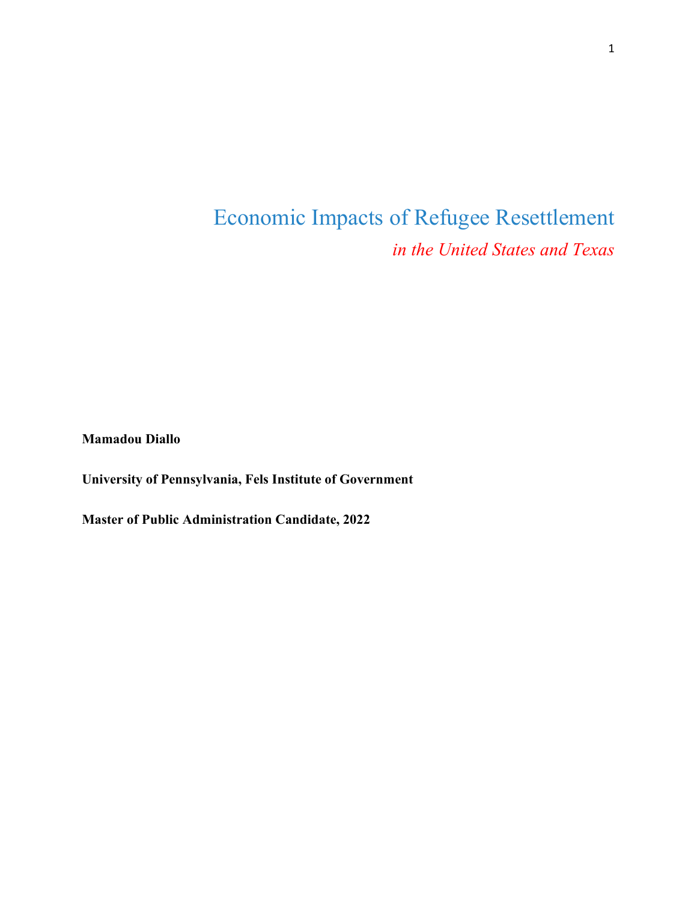# Economic Impacts of Refugee Resettlement *in the United States and Texas*

**Mamadou Diallo**

**University of Pennsylvania, Fels Institute of Government** 

**Master of Public Administration Candidate, 2022**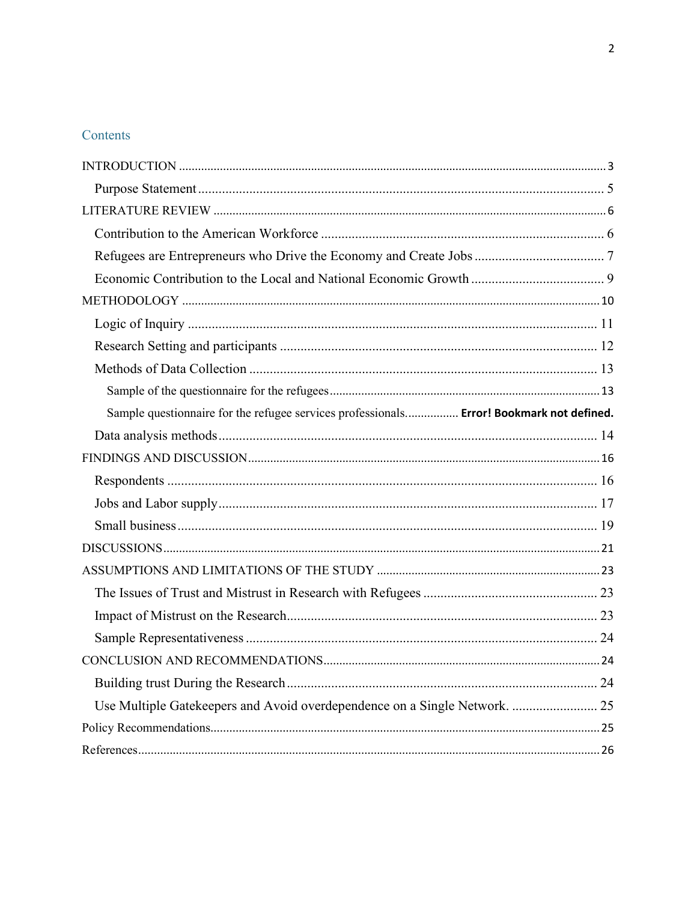# Contents

| Sample questionnaire for the refugee services professionals Error! Bookmark not defined. |  |
|------------------------------------------------------------------------------------------|--|
|                                                                                          |  |
|                                                                                          |  |
|                                                                                          |  |
|                                                                                          |  |
|                                                                                          |  |
|                                                                                          |  |
|                                                                                          |  |
|                                                                                          |  |
|                                                                                          |  |
|                                                                                          |  |
|                                                                                          |  |
|                                                                                          |  |
| Use Multiple Gatekeepers and Avoid overdependence on a Single Network.  25               |  |
|                                                                                          |  |
|                                                                                          |  |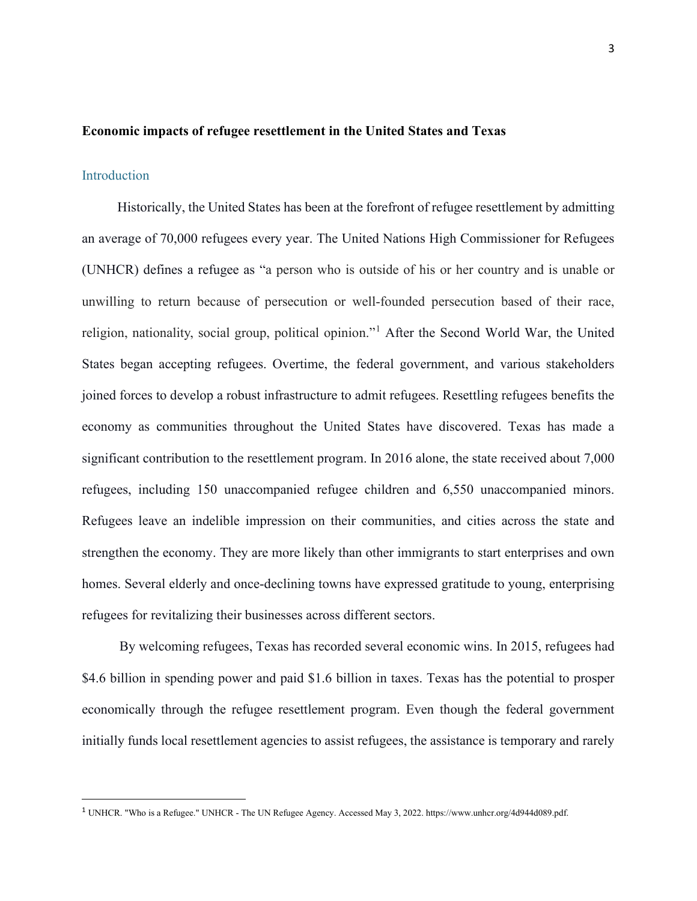#### <span id="page-2-0"></span>**Economic impacts of refugee resettlement in the United States and Texas**

# Introduction

Historically, the United States has been at the forefront of refugee resettlement by admitting an average of 70,000 refugees every year. The United Nations High Commissioner for Refugees (UNHCR) defines a refugee as "a person who is outside of his or her country and is unable or unwilling to return because of persecution or well-founded persecution based of their race, religion, nationality, social group, political opinion."[1](#page-2-1) After the Second World War, the United States began accepting refugees. Overtime, the federal government, and various stakeholders joined forces to develop a robust infrastructure to admit refugees. Resettling refugees benefits the economy as communities throughout the United States have discovered. Texas has made a significant contribution to the resettlement program. In 2016 alone, the state received about 7,000 refugees, including 150 unaccompanied refugee children and 6,550 unaccompanied minors. Refugees leave an indelible impression on their communities, and cities across the state and strengthen the economy. They are more likely than other immigrants to start enterprises and own homes. Several elderly and once-declining towns have expressed gratitude to young, enterprising refugees for revitalizing their businesses across different sectors.

By welcoming refugees, Texas has recorded several economic wins. In 2015, refugees had \$4.6 billion in spending power and paid \$1.6 billion in taxes. Texas has the potential to prosper economically through the refugee resettlement program. Even though the federal government initially funds local resettlement agencies to assist refugees, the assistance is temporary and rarely

<span id="page-2-1"></span><sup>1</sup> UNHCR. "Who is a Refugee." UNHCR - The UN Refugee Agency. Accessed May 3, 2022. https://www.unhcr.org/4d944d089.pdf.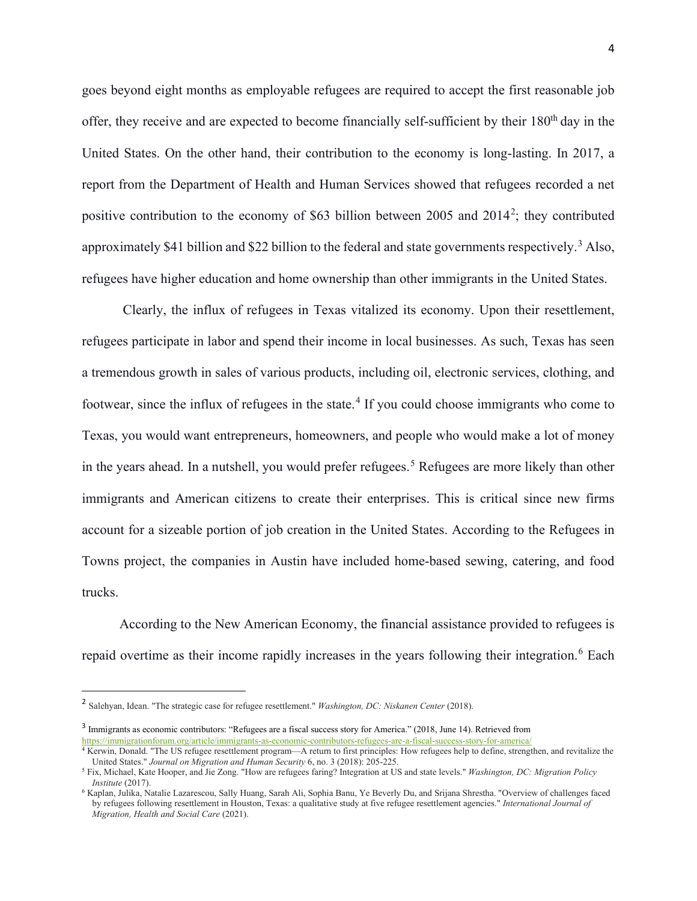goes beyond eight months as employable refugees are required to accept the first reasonable job offer, they receive and are expected to become financially self-sufficient by their 180<sup>th</sup> day in the United States. On the other hand, their contribution to the economy is long-lasting. In 2017, a report from the Department of Health and Human Services showed that refugees recorded a net positive contribution to the economy of \$63 billion between [2](#page-3-0)005 and  $2014^2$ ; they contributed approximately \$41 billion and \$22 billion to the federal and state governments respectively.<sup>[3](#page-3-1)</sup> Also, refugees have higher education and home ownership than other immigrants in the United States.

Clearly, the influx of refugees in Texas vitalized its economy. Upon their resettlement, refugees participate in labor and spend their income in local businesses. As such, Texas has seen a tremendous growth in sales of various products, including oil, electronic services, clothing, and footwear, since the influx of refugees in the state.<sup>[4](#page-3-2)</sup> If you could choose immigrants who come to Texas, you would want entrepreneurs, homeowners, and people who would make a lot of money in the years ahead. In a nutshell, you would prefer refugees.<sup>[5](#page-3-3)</sup> Refugees are more likely than other immigrants and American citizens to create their enterprises. This is critical since new firms account for a sizeable portion of job creation in the United States. According to the Refugees in Towns project, the companies in Austin have included home-based sewing, catering, and food trucks.

According to the New American Economy, the financial assistance provided to refugees is repaid overtime as their income rapidly increases in the years following their integration.<sup>[6](#page-3-4)</sup> Each

<span id="page-3-0"></span><sup>2</sup> Salehyan, Idean. "The strategic case for refugee resettlement." *Washington, DC: Niskanen Center* (2018).

<span id="page-3-1"></span><sup>&</sup>lt;sup>3</sup> Immigrants as economic contributors: "Refugees are a fiscal success story for America." (2018, June 14). Retrieved from <https://immigrationforum.org/article/immigrants-as-economic-contributors-refugees-are-a-fiscal-success-story-for-america/>

<span id="page-3-2"></span><sup>4</sup> Kerwin, Donald. "The US refugee resettlement program—A return to first principles: How refugees help to define, strengthen, and revitalize the United States." *Journal on Migration and Human Security* 6, no. 3 (2018): 205-225.

<span id="page-3-3"></span><sup>5</sup> Fix, Michael, Kate Hooper, and Jie Zong. "How are refugees faring? Integration at US and state levels." *Washington, DC: Migration Policy Institute* (2017).

<span id="page-3-4"></span><sup>6</sup> Kaplan, Julika, Natalie Lazarescou, Sally Huang, Sarah Ali, Sophia Banu, Ye Beverly Du, and Srijana Shrestha. "Overview of challenges faced by refugees following resettlement in Houston, Texas: a qualitative study at five refugee resettlement agencies." *International Journal of Migration, Health and Social Care* (2021).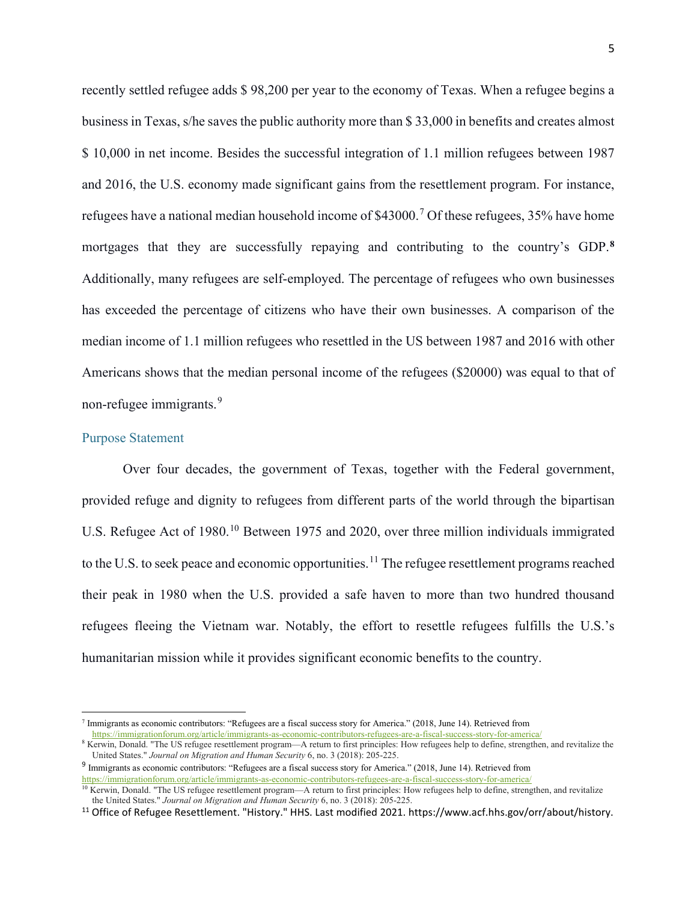recently settled refugee adds \$ 98,200 per year to the economy of Texas. When a refugee begins a business in Texas, s/he saves the public authority more than \$ 33,000 in benefits and creates almost \$ 10,000 in net income. Besides the successful integration of 1.1 million refugees between 1987 and 2016, the U.S. economy made significant gains from the resettlement program. For instance, refugees have a national median household income of \$43000.<sup>[7](#page-4-1)</sup> Of these refugees, 35% have home mortgages that they are successfully repaying and contributing to the country's GDP. **[8](#page-4-2)** Additionally, many refugees are self-employed. The percentage of refugees who own businesses has exceeded the percentage of citizens who have their own businesses. A comparison of the median income of 1.1 million refugees who resettled in the US between 1987 and 2016 with other Americans shows that the median personal income of the refugees (\$20000) was equal to that of non-refugee immigrants.<sup>[9](#page-4-3)</sup>

## <span id="page-4-0"></span>Purpose Statement

Over four decades, the government of Texas, together with the Federal government, provided refuge and dignity to refugees from different parts of the world through the bipartisan U.S. Refugee Act of 1980.<sup>[10](#page-4-4)</sup> Between 1975 and 2020, over three million individuals immigrated to the U.S. to seek peace and economic opportunities.<sup>[11](#page-4-5)</sup> The refugee resettlement programs reached their peak in 1980 when the U.S. provided a safe haven to more than two hundred thousand refugees fleeing the Vietnam war. Notably, the effort to resettle refugees fulfills the U.S.'s humanitarian mission while it provides significant economic benefits to the country.

<span id="page-4-1"></span><sup>7</sup> Immigrants as economic contributors: "Refugees are a fiscal success story for America." (2018, June 14). Retrieved from <https://immigrationforum.org/article/immigrants-as-economic-contributors-refugees-are-a-fiscal-success-story-for-america/>

<span id="page-4-2"></span><sup>&</sup>lt;sup>8</sup> Kerwin, Donald. "The US refugee resettlement program—A return to first principles: How refugees help to define, strengthen, and revitalize the United States." *Journal on Migration and Human Security* 6, no. 3 (2018): 205-225.

<span id="page-4-3"></span><sup>9</sup> Immigrants as economic contributors: "Refugees are a fiscal success story for America." (2018, June 14). Retrieved from <https://immigrationforum.org/article/immigrants-as-economic-contributors-refugees-are-a-fiscal-success-story-for-america/>

<span id="page-4-4"></span><sup>&</sup>lt;sup>10</sup> Kerwin, Donald. "The US refugee resettlement program—A return to first principles: How refugees help to define, strengthen, and revitalize the United States." *Journal on Migration and Human Security* 6, no. 3 (2018): 205-225.

<span id="page-4-5"></span><sup>&</sup>lt;sup>11</sup> Office of Refugee Resettlement. "History." HHS. Last modified 2021. https://www.acf.hhs.gov/orr/about/history.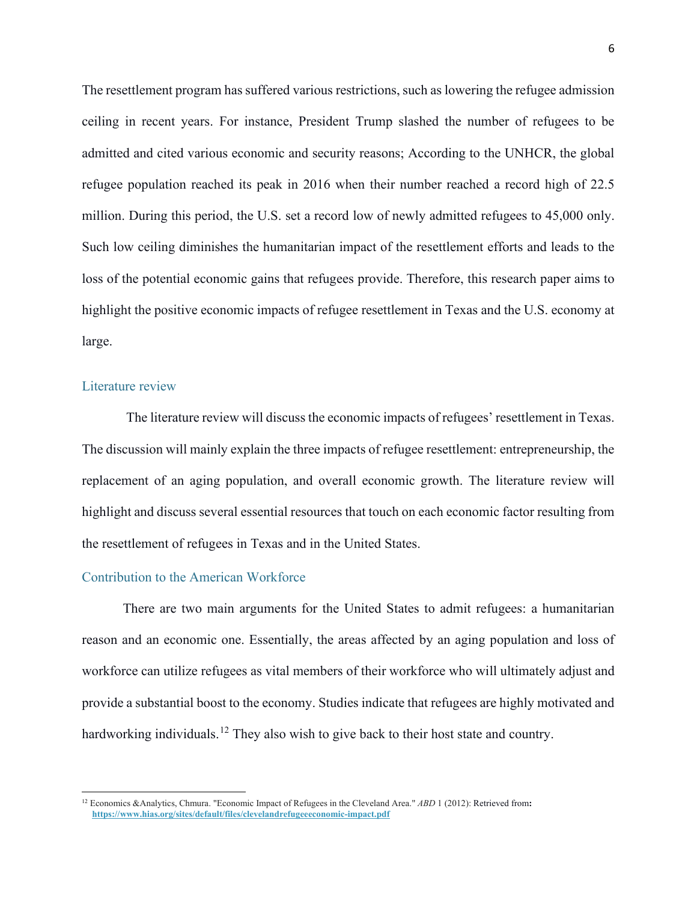The resettlement program has suffered various restrictions, such as lowering the refugee admission ceiling in recent years. For instance, President Trump slashed the number of refugees to be admitted and cited various economic and security reasons; According to the UNHCR, the global refugee population reached its peak in 2016 when their number reached a record high of 22.5 million. During this period, the U.S. set a record low of newly admitted refugees to 45,000 only. Such low ceiling diminishes the humanitarian impact of the resettlement efforts and leads to the loss of the potential economic gains that refugees provide. Therefore, this research paper aims to highlight the positive economic impacts of refugee resettlement in Texas and the U.S. economy at large.

#### <span id="page-5-0"></span>Literature review

The literature review will discuss the economic impacts of refugees' resettlement in Texas. The discussion will mainly explain the three impacts of refugee resettlement: entrepreneurship, the replacement of an aging population, and overall economic growth. The literature review will highlight and discuss several essential resources that touch on each economic factor resulting from the resettlement of refugees in Texas and in the United States.

# <span id="page-5-1"></span>Contribution to the American Workforce

There are two main arguments for the United States to admit refugees: a humanitarian reason and an economic one. Essentially, the areas affected by an aging population and loss of workforce can utilize refugees as vital members of their workforce who will ultimately adjust and provide a substantial boost to the economy. Studies indicate that refugees are highly motivated and hardworking individuals.<sup>[12](#page-5-2)</sup> They also wish to give back to their host state and country.

<span id="page-5-2"></span><sup>&</sup>lt;sup>12</sup> Economics &Analytics, Chmura. "Economic Impact of Refugees in the Cleveland Area." *ABD* 1 (2012): Retrieved from: **<https://www.hias.org/sites/default/files/clevelandrefugeeeconomic-impact.pdf>**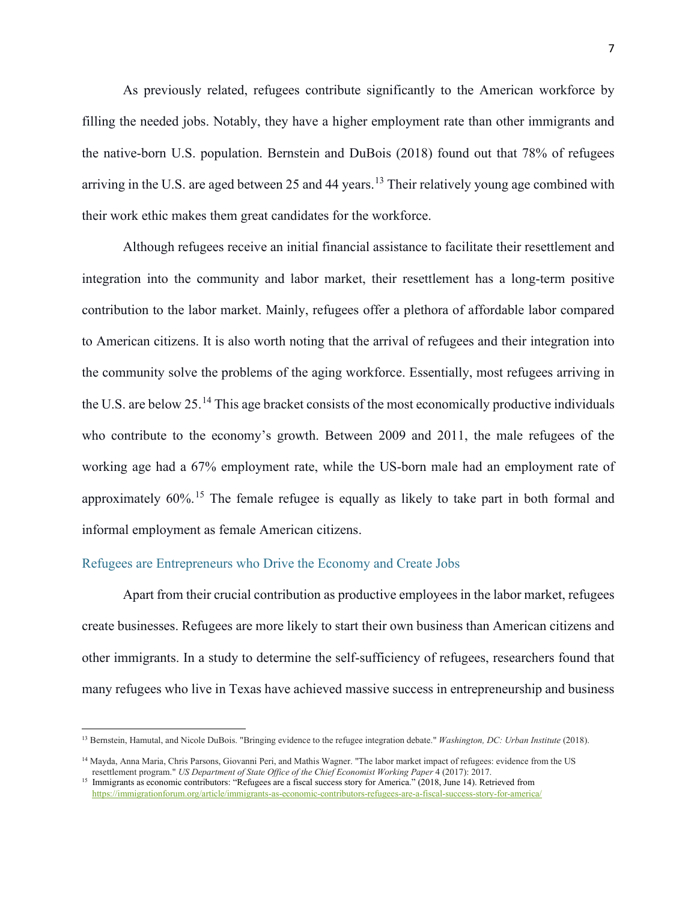As previously related, refugees contribute significantly to the American workforce by filling the needed jobs. Notably, they have a higher employment rate than other immigrants and the native-born U.S. population. Bernstein and DuBois (2018) found out that 78% of refugees arriving in the U.S. are aged between 25 and 44 years.<sup>[13](#page-6-1)</sup> Their relatively young age combined with their work ethic makes them great candidates for the workforce.

Although refugees receive an initial financial assistance to facilitate their resettlement and integration into the community and labor market, their resettlement has a long-term positive contribution to the labor market. Mainly, refugees offer a plethora of affordable labor compared to American citizens. It is also worth noting that the arrival of refugees and their integration into the community solve the problems of the aging workforce. Essentially, most refugees arriving in the U.S. are below 25.[14](#page-6-2) This age bracket consists of the most economically productive individuals who contribute to the economy's growth. Between 2009 and 2011, the male refugees of the working age had a 67% employment rate, while the US-born male had an employment rate of approximately  $60\%$ <sup>[15](#page-6-3)</sup>. The female refugee is equally as likely to take part in both formal and informal employment as female American citizens.

# <span id="page-6-0"></span>Refugees are Entrepreneurs who Drive the Economy and Create Jobs

Apart from their crucial contribution as productive employees in the labor market, refugees create businesses. Refugees are more likely to start their own business than American citizens and other immigrants. In a study to determine the self-sufficiency of refugees, researchers found that many refugees who live in Texas have achieved massive success in entrepreneurship and business

<span id="page-6-1"></span><sup>13</sup> Bernstein, Hamutal, and Nicole DuBois. "Bringing evidence to the refugee integration debate." *Washington, DC: Urban Institute* (2018).

<span id="page-6-2"></span><sup>&</sup>lt;sup>14</sup> Mayda, Anna Maria, Chris Parsons, Giovanni Peri, and Mathis Wagner. "The labor market impact of refugees: evidence from the US resettlement program." *US Department of State Office of the Chief Economist Working Paper* 4 (2017): 2017.

<span id="page-6-3"></span><sup>&</sup>lt;sup>15</sup> Immigrants as economic contributors: "Refugees are a fiscal success story for America." (2018, June 14). Retrieved from <https://immigrationforum.org/article/immigrants-as-economic-contributors-refugees-are-a-fiscal-success-story-for-america/>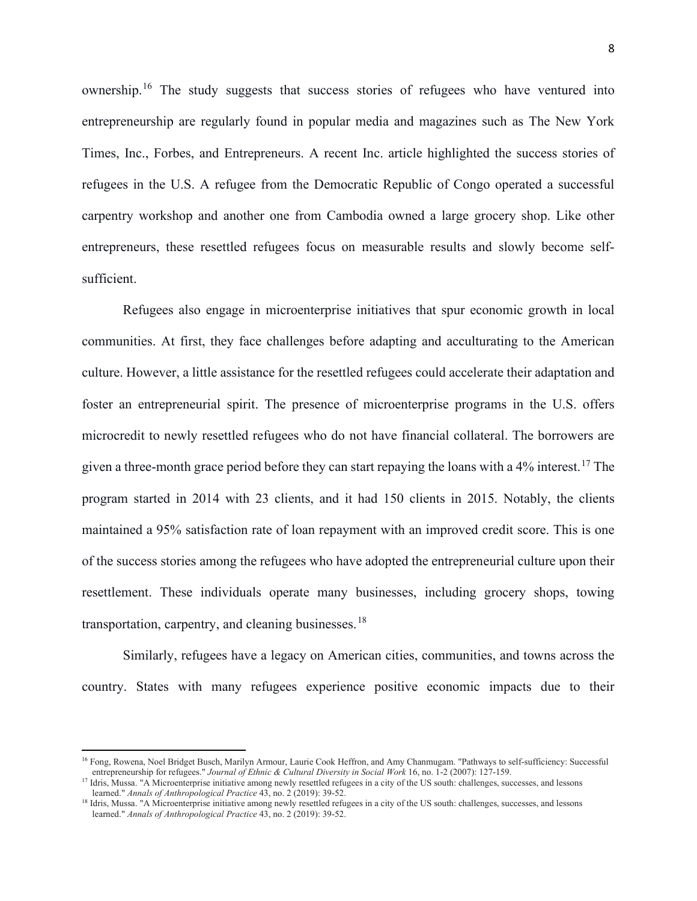ownership.<sup>[16](#page-7-0)</sup> The study suggests that success stories of refugees who have ventured into entrepreneurship are regularly found in popular media and magazines such as The New York Times, Inc., Forbes, and Entrepreneurs. A recent Inc. article highlighted the success stories of refugees in the U.S. A refugee from the Democratic Republic of Congo operated a successful carpentry workshop and another one from Cambodia owned a large grocery shop. Like other entrepreneurs, these resettled refugees focus on measurable results and slowly become selfsufficient.

Refugees also engage in microenterprise initiatives that spur economic growth in local communities. At first, they face challenges before adapting and acculturating to the American culture. However, a little assistance for the resettled refugees could accelerate their adaptation and foster an entrepreneurial spirit. The presence of microenterprise programs in the U.S. offers microcredit to newly resettled refugees who do not have financial collateral. The borrowers are given a three-month grace period before they can start repaying the loans with a  $4\%$  interest.<sup>[17](#page-7-1)</sup> The program started in 2014 with 23 clients, and it had 150 clients in 2015. Notably, the clients maintained a 95% satisfaction rate of loan repayment with an improved credit score. This is one of the success stories among the refugees who have adopted the entrepreneurial culture upon their resettlement. These individuals operate many businesses, including grocery shops, towing transportation, carpentry, and cleaning businesses.<sup>[18](#page-7-2)</sup>

Similarly, refugees have a legacy on American cities, communities, and towns across the country. States with many refugees experience positive economic impacts due to their

<span id="page-7-0"></span><sup>&</sup>lt;sup>16</sup> Fong, Rowena, Noel Bridget Busch, Marilyn Armour, Laurie Cook Heffron, and Amy Chanmugam. "Pathways to self-sufficiency: Successful entrepreneurship for refugees." *Journal of Ethnic & Cultural Diversity in Social Work* 16, no. 1-2 (2007): 127-159.

<span id="page-7-1"></span><sup>&</sup>lt;sup>17</sup> Idris, Mussa. "A Microenterprise initiative among newly resettled refugees in a city of the US south: challenges, successes, and lessons learned." *Annals of Anthropological Practice* 43, no. 2 (2019): 39-52.

<span id="page-7-2"></span><sup>&</sup>lt;sup>18</sup> Idris, Mussa. "A Microenterprise initiative among newly resettled refugees in a city of the US south: challenges, successes, and lessons learned." *Annals of Anthropological Practice* 43, no. 2 (2019): 39-52.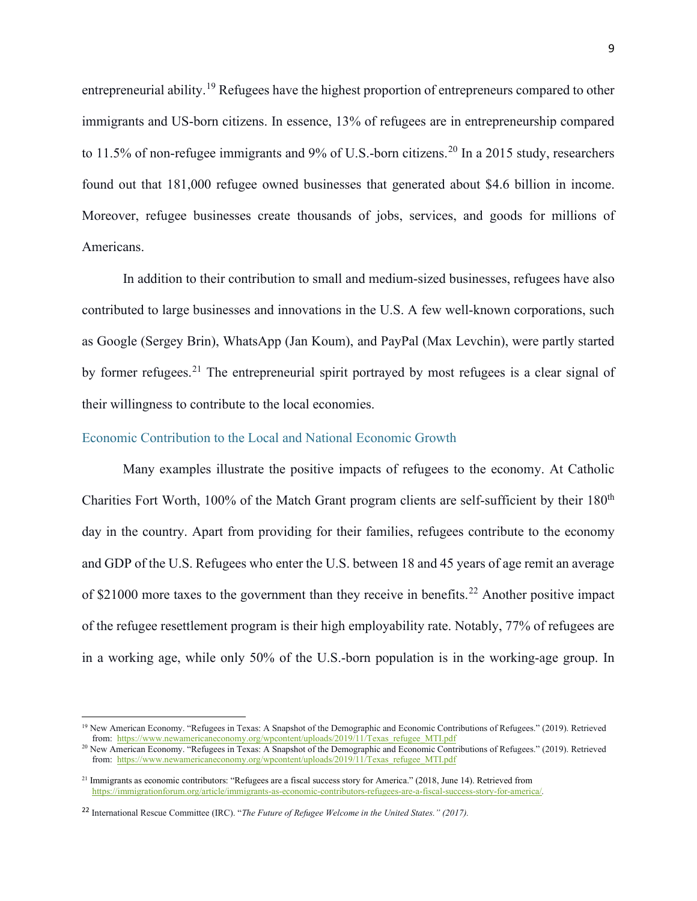entrepreneurial ability.[19](#page-8-1) Refugees have the highest proportion of entrepreneurs compared to other immigrants and US-born citizens. In essence, 13% of refugees are in entrepreneurship compared to 11.5% of non-refugee immigrants and 9% of U.S.-born citizens.<sup>[20](#page-8-2)</sup> In a 2015 study, researchers found out that 181,000 refugee owned businesses that generated about \$4.6 billion in income. Moreover, refugee businesses create thousands of jobs, services, and goods for millions of Americans.

In addition to their contribution to small and medium-sized businesses, refugees have also contributed to large businesses and innovations in the U.S. A few well-known corporations, such as Google (Sergey Brin), WhatsApp (Jan Koum), and PayPal (Max Levchin), were partly started by former refugees.<sup>[21](#page-8-3)</sup> The entrepreneurial spirit portrayed by most refugees is a clear signal of their willingness to contribute to the local economies.

#### <span id="page-8-0"></span>Economic Contribution to the Local and National Economic Growth

Many examples illustrate the positive impacts of refugees to the economy. At Catholic Charities Fort Worth, 100% of the Match Grant program clients are self-sufficient by their 180<sup>th</sup> day in the country. Apart from providing for their families, refugees contribute to the economy and GDP of the U.S. Refugees who enter the U.S. between 18 and 45 years of age remit an average of \$21000 more taxes to the government than they receive in benefits.<sup>[22](#page-8-4)</sup> Another positive impact of the refugee resettlement program is their high employability rate. Notably, 77% of refugees are in a working age, while only 50% of the U.S.-born population is in the working-age group. In

<span id="page-8-1"></span><sup>&</sup>lt;sup>19</sup> New American Economy. "Refugees in Texas: A Snapshot of the Demographic and Economic Contributions of Refugees." (2019). Retrieved from: [https://www.newamericaneconomy.org/wpcontent/uploads/2019/11/Texas\\_refugee\\_MTI.pdf](https://www.newamericaneconomy.org/wpcontent/uploads/2019/11/Texas_refugee_MTI.pdf)

<span id="page-8-2"></span><sup>20</sup> New American Economy. "Refugees in Texas: A Snapshot of the Demographic and Economic Contributions of Refugees." (2019). Retrieved from: [https://www.newamericaneconomy.org/wpcontent/uploads/2019/11/Texas\\_refugee\\_MTI.pdf](https://www.newamericaneconomy.org/wpcontent/uploads/2019/11/Texas_refugee_MTI.pdf)

<span id="page-8-3"></span> $21$  Immigrants as economic contributors: "Refugees are a fiscal success story for America." (2018, June 14). Retrieved from <https://immigrationforum.org/article/immigrants-as-economic-contributors-refugees-are-a-fiscal-success-story-for-america/>*.*

<span id="page-8-4"></span><sup>22</sup> International Rescue Committee (IRC). "*The Future of Refugee Welcome in the United States." (2017).*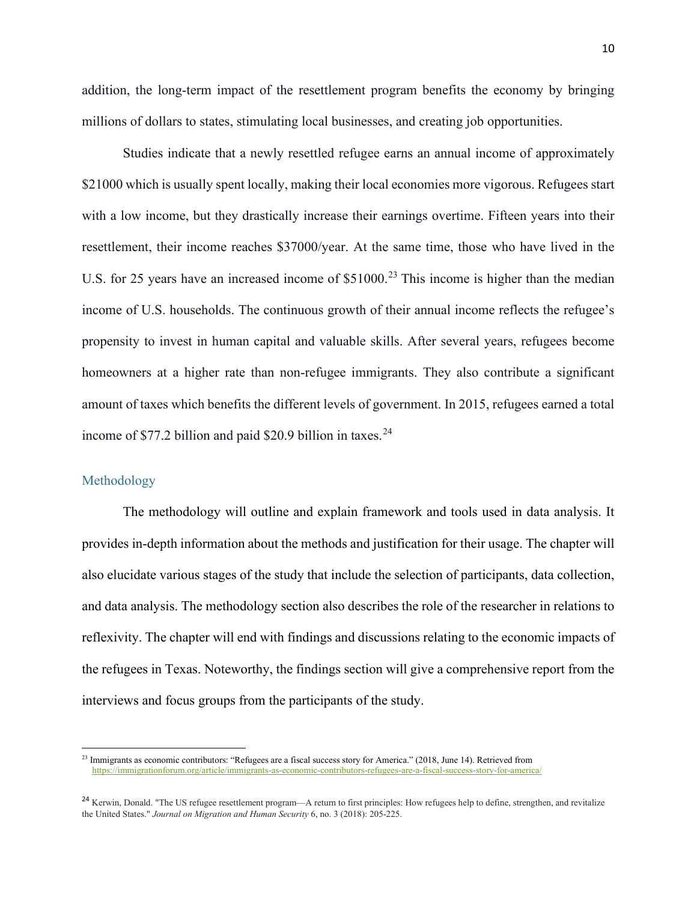addition, the long-term impact of the resettlement program benefits the economy by bringing millions of dollars to states, stimulating local businesses, and creating job opportunities.

Studies indicate that a newly resettled refugee earns an annual income of approximately \$21000 which is usually spent locally, making their local economies more vigorous. Refugees start with a low income, but they drastically increase their earnings overtime. Fifteen years into their resettlement, their income reaches \$37000/year. At the same time, those who have lived in the U.S. for 25 years have an increased income of \$51000.<sup>[23](#page-9-1)</sup> This income is higher than the median income of U.S. households. The continuous growth of their annual income reflects the refugee's propensity to invest in human capital and valuable skills. After several years, refugees become homeowners at a higher rate than non-refugee immigrants. They also contribute a significant amount of taxes which benefits the different levels of government. In 2015, refugees earned a total income of  $$77.2$  billion and paid \$20.9 billion in taxes.<sup>[24](#page-9-2)</sup>

#### <span id="page-9-0"></span>Methodology

The methodology will outline and explain framework and tools used in data analysis. It provides in-depth information about the methods and justification for their usage. The chapter will also elucidate various stages of the study that include the selection of participants, data collection, and data analysis. The methodology section also describes the role of the researcher in relations to reflexivity. The chapter will end with findings and discussions relating to the economic impacts of the refugees in Texas. Noteworthy, the findings section will give a comprehensive report from the interviews and focus groups from the participants of the study.

<span id="page-9-1"></span><sup>&</sup>lt;sup>23</sup> Immigrants as economic contributors: "Refugees are a fiscal success story for America." (2018, June 14). Retrieved from <https://immigrationforum.org/article/immigrants-as-economic-contributors-refugees-are-a-fiscal-success-story-for-america/>

<span id="page-9-2"></span><sup>&</sup>lt;sup>24</sup> Kerwin, Donald. "The US refugee resettlement program—A return to first principles: How refugees help to define, strengthen, and revitalize the United States." *Journal on Migration and Human Security* 6, no. 3 (2018): 205-225.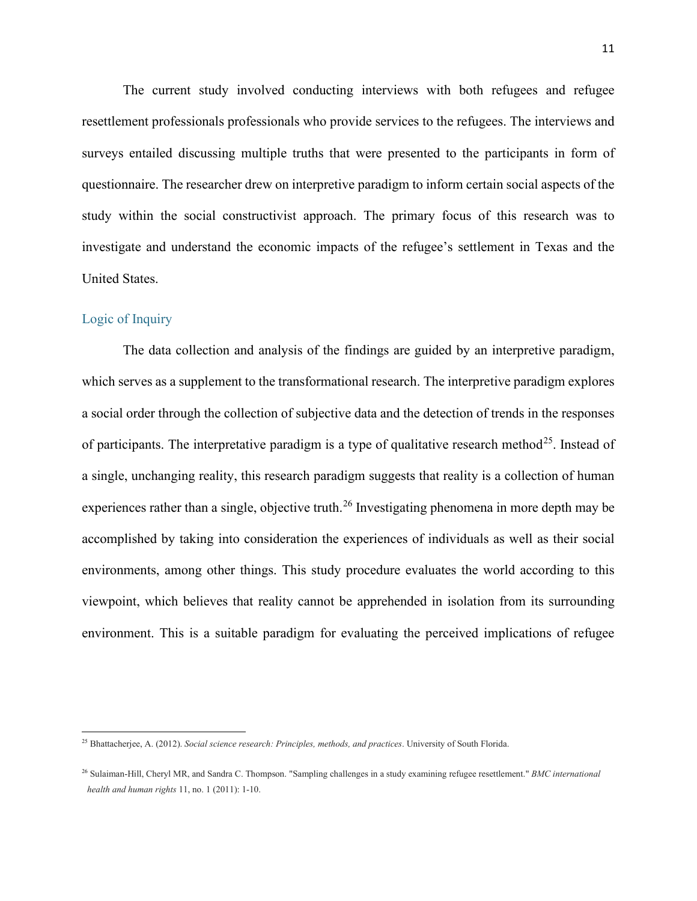The current study involved conducting interviews with both refugees and refugee resettlement professionals professionals who provide services to the refugees. The interviews and surveys entailed discussing multiple truths that were presented to the participants in form of questionnaire. The researcher drew on interpretive paradigm to inform certain social aspects of the study within the social constructivist approach. The primary focus of this research was to investigate and understand the economic impacts of the refugee's settlement in Texas and the United States.

# <span id="page-10-0"></span>Logic of Inquiry

The data collection and analysis of the findings are guided by an interpretive paradigm, which serves as a supplement to the transformational research. The interpretive paradigm explores a social order through the collection of subjective data and the detection of trends in the responses of participants. The interpretative paradigm is a type of qualitative research method<sup>25</sup>. Instead of a single, unchanging reality, this research paradigm suggests that reality is a collection of human experiences rather than a single, objective truth.<sup>[26](#page-10-2)</sup> Investigating phenomena in more depth may be accomplished by taking into consideration the experiences of individuals as well as their social environments, among other things. This study procedure evaluates the world according to this viewpoint, which believes that reality cannot be apprehended in isolation from its surrounding environment. This is a suitable paradigm for evaluating the perceived implications of refugee

<span id="page-10-1"></span><sup>25</sup> Bhattacherjee, A. (2012). *Social science research: Principles, methods, and practices*. University of South Florida.

<span id="page-10-2"></span><sup>26</sup> Sulaiman-Hill, Cheryl MR, and Sandra C. Thompson. "Sampling challenges in a study examining refugee resettlement." *BMC international health and human rights* 11, no. 1 (2011): 1-10.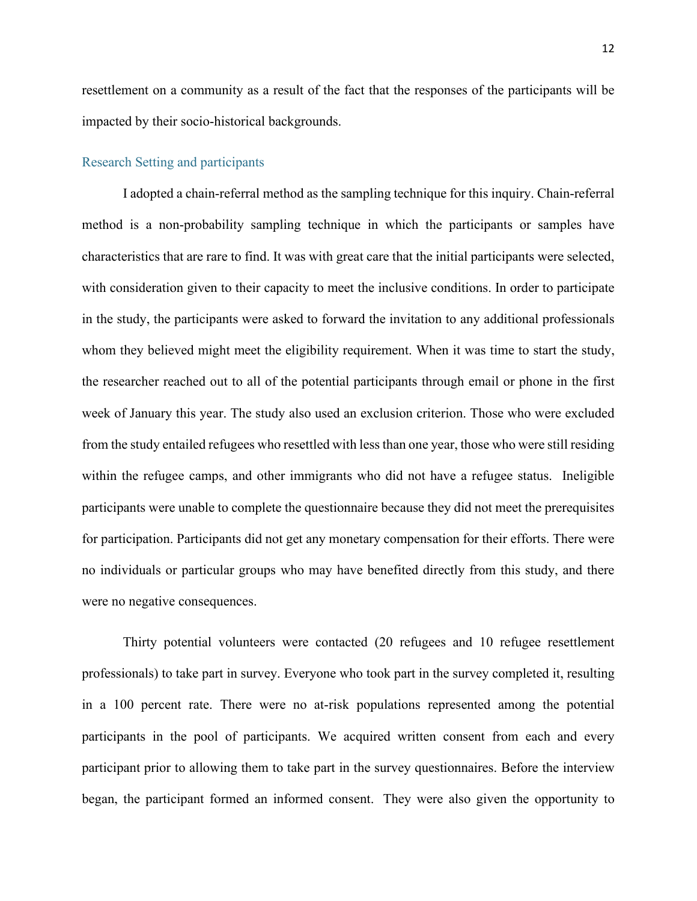resettlement on a community as a result of the fact that the responses of the participants will be impacted by their socio-historical backgrounds.

#### <span id="page-11-0"></span>Research Setting and participants

I adopted a chain-referral method as the sampling technique for this inquiry. Chain-referral method is a non-probability sampling technique in which the participants or samples have characteristics that are rare to find. It was with great care that the initial participants were selected, with consideration given to their capacity to meet the inclusive conditions. In order to participate in the study, the participants were asked to forward the invitation to any additional professionals whom they believed might meet the eligibility requirement. When it was time to start the study, the researcher reached out to all of the potential participants through email or phone in the first week of January this year. The study also used an exclusion criterion. Those who were excluded from the study entailed refugees who resettled with less than one year, those who were still residing within the refugee camps, and other immigrants who did not have a refugee status. Ineligible participants were unable to complete the questionnaire because they did not meet the prerequisites for participation. Participants did not get any monetary compensation for their efforts. There were no individuals or particular groups who may have benefited directly from this study, and there were no negative consequences.

Thirty potential volunteers were contacted (20 refugees and 10 refugee resettlement professionals) to take part in survey. Everyone who took part in the survey completed it, resulting in a 100 percent rate. There were no at-risk populations represented among the potential participants in the pool of participants. We acquired written consent from each and every participant prior to allowing them to take part in the survey questionnaires. Before the interview began, the participant formed an informed consent. They were also given the opportunity to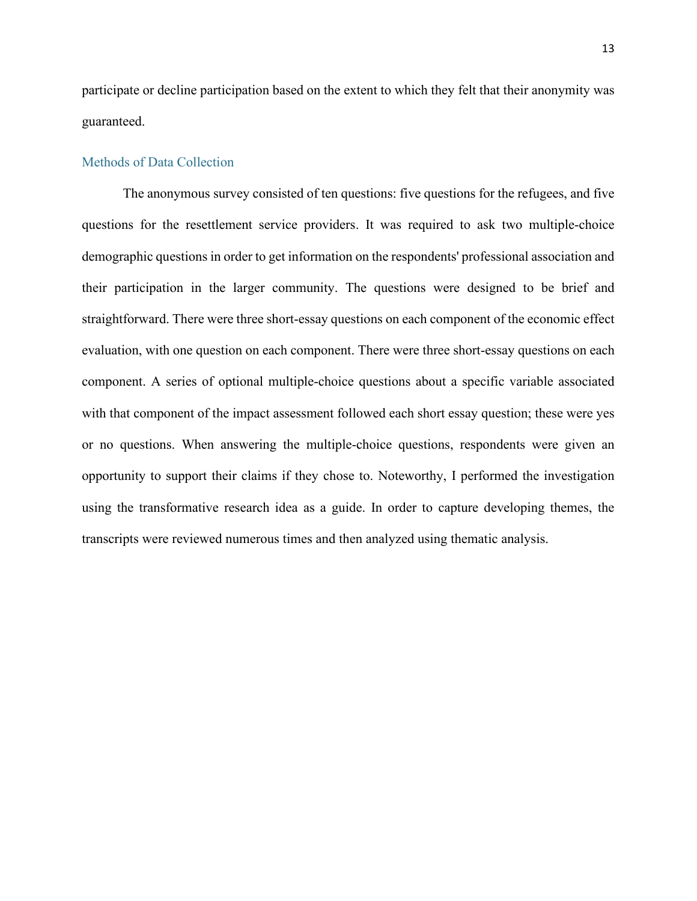participate or decline participation based on the extent to which they felt that their anonymity was guaranteed.

#### <span id="page-12-0"></span>Methods of Data Collection

<span id="page-12-1"></span>The anonymous survey consisted of ten questions: five questions for the refugees, and five questions for the resettlement service providers. It was required to ask two multiple-choice demographic questions in order to get information on the respondents' professional association and their participation in the larger community. The questions were designed to be brief and straightforward. There were three short-essay questions on each component of the economic effect evaluation, with one question on each component. There were three short-essay questions on each component. A series of optional multiple-choice questions about a specific variable associated with that component of the impact assessment followed each short essay question; these were yes or no questions. When answering the multiple-choice questions, respondents were given an opportunity to support their claims if they chose to. Noteworthy, I performed the investigation using the transformative research idea as a guide. In order to capture developing themes, the transcripts were reviewed numerous times and then analyzed using thematic analysis.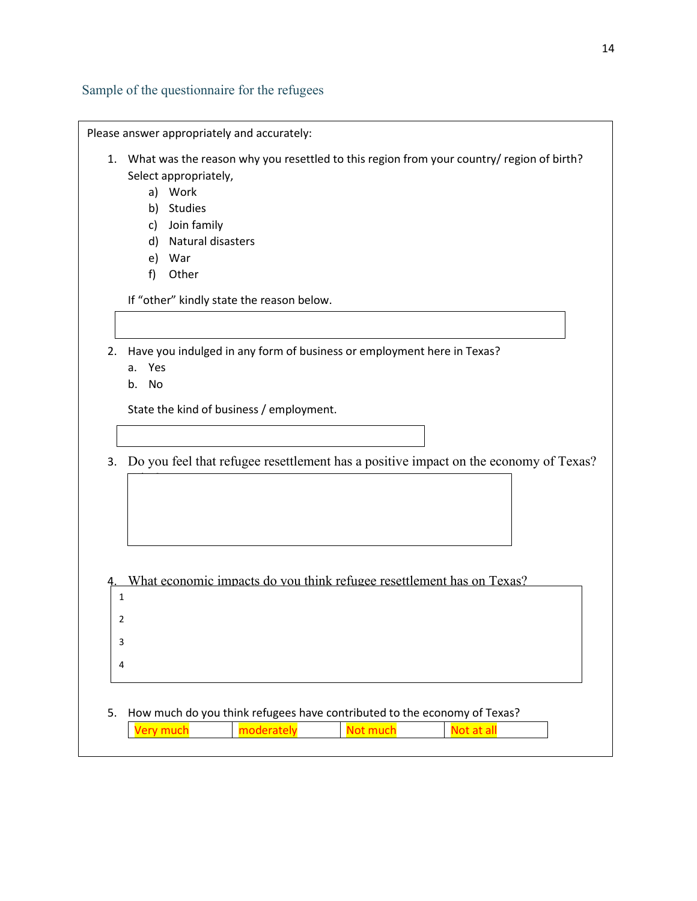<span id="page-13-0"></span>Sample of the questionnaire for the refugees

|    | 1. What was the reason why you resettled to this region from your country/ region of birth? |
|----|---------------------------------------------------------------------------------------------|
|    | Select appropriately,                                                                       |
|    | Work<br>a)                                                                                  |
|    | Studies<br>b)                                                                               |
|    | Join family<br>c)                                                                           |
|    | Natural disasters<br>d)                                                                     |
|    | War<br>e)                                                                                   |
|    | f<br>Other                                                                                  |
|    | If "other" kindly state the reason below.                                                   |
|    |                                                                                             |
| 2. | Have you indulged in any form of business or employment here in Texas?                      |
|    | Yes<br>a.                                                                                   |
|    | No<br>b.                                                                                    |
|    | State the kind of business / employment.                                                    |
|    |                                                                                             |
|    |                                                                                             |
| 3. | Do you feel that refugee resettlement has a positive impact on the economy of Texas?        |
|    |                                                                                             |
|    |                                                                                             |
|    |                                                                                             |
|    |                                                                                             |
|    |                                                                                             |
|    |                                                                                             |
|    |                                                                                             |
|    | What economic impacts do you think refugee resettlement has on Texas?                       |
|    | 1                                                                                           |
|    | 2                                                                                           |
|    | 3                                                                                           |
|    | 4                                                                                           |
|    |                                                                                             |
|    |                                                                                             |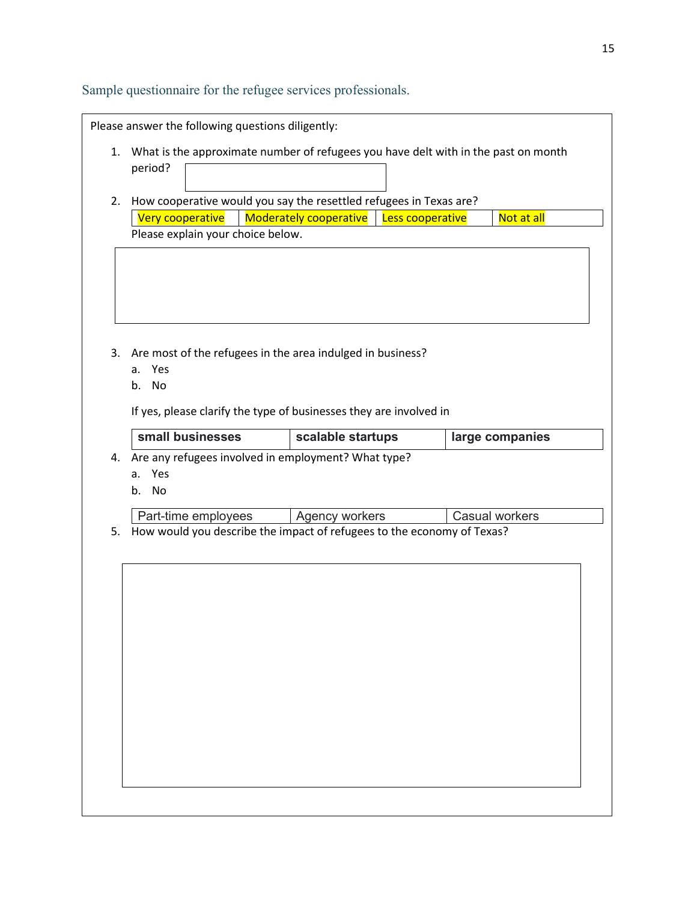Sample questionnaire for the refugee services professionals.

|    | Please answer the following questions diligently:                                   |                                                                        |  |                       |  |  |
|----|-------------------------------------------------------------------------------------|------------------------------------------------------------------------|--|-----------------------|--|--|
| 1. | What is the approximate number of refugees you have delt with in the past on month  |                                                                        |  |                       |  |  |
|    | period?                                                                             |                                                                        |  |                       |  |  |
|    |                                                                                     |                                                                        |  |                       |  |  |
| 2. | How cooperative would you say the resettled refugees in Texas are?                  |                                                                        |  |                       |  |  |
|    | <b>Moderately cooperative</b><br>Very cooperative<br>Not at all<br>Less cooperative |                                                                        |  |                       |  |  |
|    | Please explain your choice below.                                                   |                                                                        |  |                       |  |  |
|    |                                                                                     |                                                                        |  |                       |  |  |
|    |                                                                                     |                                                                        |  |                       |  |  |
|    |                                                                                     |                                                                        |  |                       |  |  |
|    |                                                                                     |                                                                        |  |                       |  |  |
|    |                                                                                     |                                                                        |  |                       |  |  |
| 3. |                                                                                     | Are most of the refugees in the area indulged in business?             |  |                       |  |  |
|    | Yes<br>a.                                                                           |                                                                        |  |                       |  |  |
|    | b. No                                                                               |                                                                        |  |                       |  |  |
|    |                                                                                     |                                                                        |  |                       |  |  |
|    | If yes, please clarify the type of businesses they are involved in                  |                                                                        |  |                       |  |  |
|    |                                                                                     |                                                                        |  |                       |  |  |
|    | small businesses                                                                    | scalable startups                                                      |  | large companies       |  |  |
| 4. |                                                                                     |                                                                        |  |                       |  |  |
|    | Yes<br>a.                                                                           | Are any refugees involved in employment? What type?                    |  |                       |  |  |
|    | No<br>b.                                                                            |                                                                        |  |                       |  |  |
|    |                                                                                     |                                                                        |  |                       |  |  |
|    | Part-time employees                                                                 | Agency workers                                                         |  | <b>Casual workers</b> |  |  |
| 5. |                                                                                     | How would you describe the impact of refugees to the economy of Texas? |  |                       |  |  |
|    |                                                                                     |                                                                        |  |                       |  |  |
|    |                                                                                     |                                                                        |  |                       |  |  |
|    |                                                                                     |                                                                        |  |                       |  |  |
|    |                                                                                     |                                                                        |  |                       |  |  |
|    |                                                                                     |                                                                        |  |                       |  |  |
|    |                                                                                     |                                                                        |  |                       |  |  |
|    |                                                                                     |                                                                        |  |                       |  |  |
|    |                                                                                     |                                                                        |  |                       |  |  |
|    |                                                                                     |                                                                        |  |                       |  |  |
|    |                                                                                     |                                                                        |  |                       |  |  |
|    |                                                                                     |                                                                        |  |                       |  |  |
|    |                                                                                     |                                                                        |  |                       |  |  |
|    |                                                                                     |                                                                        |  |                       |  |  |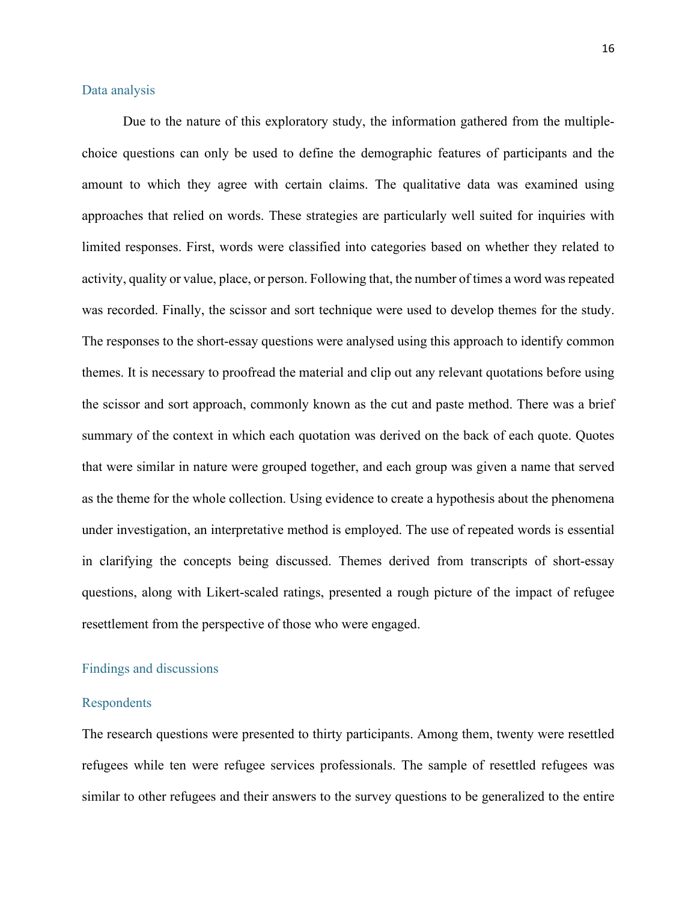#### Data analysis

Due to the nature of this exploratory study, the information gathered from the multiplechoice questions can only be used to define the demographic features of participants and the amount to which they agree with certain claims. The qualitative data was examined using approaches that relied on words. These strategies are particularly well suited for inquiries with limited responses. First, words were classified into categories based on whether they related to activity, quality or value, place, or person. Following that, the number of times a word was repeated was recorded. Finally, the scissor and sort technique were used to develop themes for the study. The responses to the short-essay questions were analysed using this approach to identify common themes. It is necessary to proofread the material and clip out any relevant quotations before using the scissor and sort approach, commonly known as the cut and paste method. There was a brief summary of the context in which each quotation was derived on the back of each quote. Quotes that were similar in nature were grouped together, and each group was given a name that served as the theme for the whole collection. Using evidence to create a hypothesis about the phenomena under investigation, an interpretative method is employed. The use of repeated words is essential in clarifying the concepts being discussed. Themes derived from transcripts of short-essay questions, along with Likert-scaled ratings, presented a rough picture of the impact of refugee resettlement from the perspective of those who were engaged.

### <span id="page-15-0"></span>Findings and discussions

#### <span id="page-15-1"></span>Respondents

The research questions were presented to thirty participants. Among them, twenty were resettled refugees while ten were refugee services professionals. The sample of resettled refugees was similar to other refugees and their answers to the survey questions to be generalized to the entire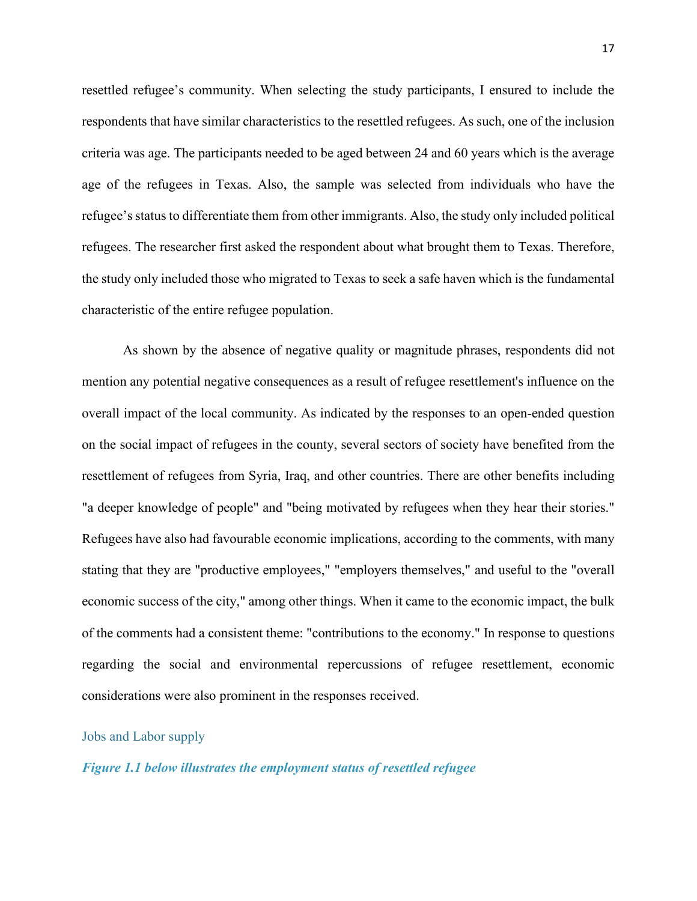resettled refugee's community. When selecting the study participants, I ensured to include the respondents that have similar characteristics to the resettled refugees. As such, one of the inclusion criteria was age. The participants needed to be aged between 24 and 60 years which is the average age of the refugees in Texas. Also, the sample was selected from individuals who have the refugee'sstatus to differentiate them from other immigrants. Also, the study only included political refugees. The researcher first asked the respondent about what brought them to Texas. Therefore, the study only included those who migrated to Texas to seek a safe haven which is the fundamental characteristic of the entire refugee population.

As shown by the absence of negative quality or magnitude phrases, respondents did not mention any potential negative consequences as a result of refugee resettlement's influence on the overall impact of the local community. As indicated by the responses to an open-ended question on the social impact of refugees in the county, several sectors of society have benefited from the resettlement of refugees from Syria, Iraq, and other countries. There are other benefits including "a deeper knowledge of people" and "being motivated by refugees when they hear their stories." Refugees have also had favourable economic implications, according to the comments, with many stating that they are "productive employees," "employers themselves," and useful to the "overall economic success of the city," among other things. When it came to the economic impact, the bulk of the comments had a consistent theme: "contributions to the economy." In response to questions regarding the social and environmental repercussions of refugee resettlement, economic considerations were also prominent in the responses received.

#### <span id="page-16-0"></span>Jobs and Labor supply

*Figure 1.1 below illustrates the employment status of resettled refugee*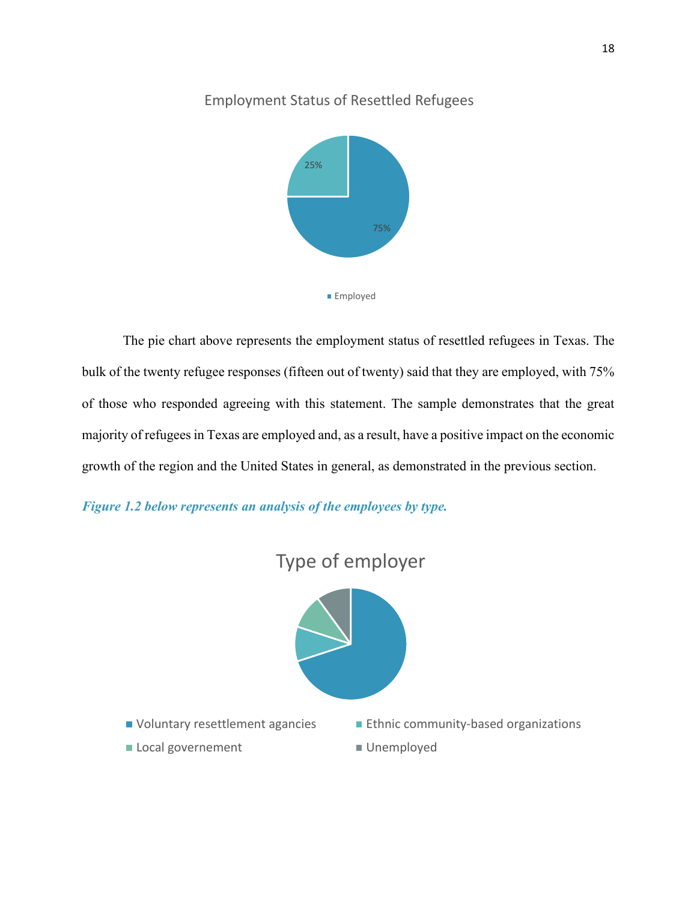# Employment Status of Resettled Refugees



The pie chart above represents the employment status of resettled refugees in Texas. The bulk of the twenty refugee responses (fifteen out of twenty) said that they are employed, with 75% of those who responded agreeing with this statement. The sample demonstrates that the great majority of refugees in Texas are employed and, as a result, have a positive impact on the economic growth of the region and the United States in general, as demonstrated in the previous section.

*Figure 1.2 below represents an analysis of the employees by type.*

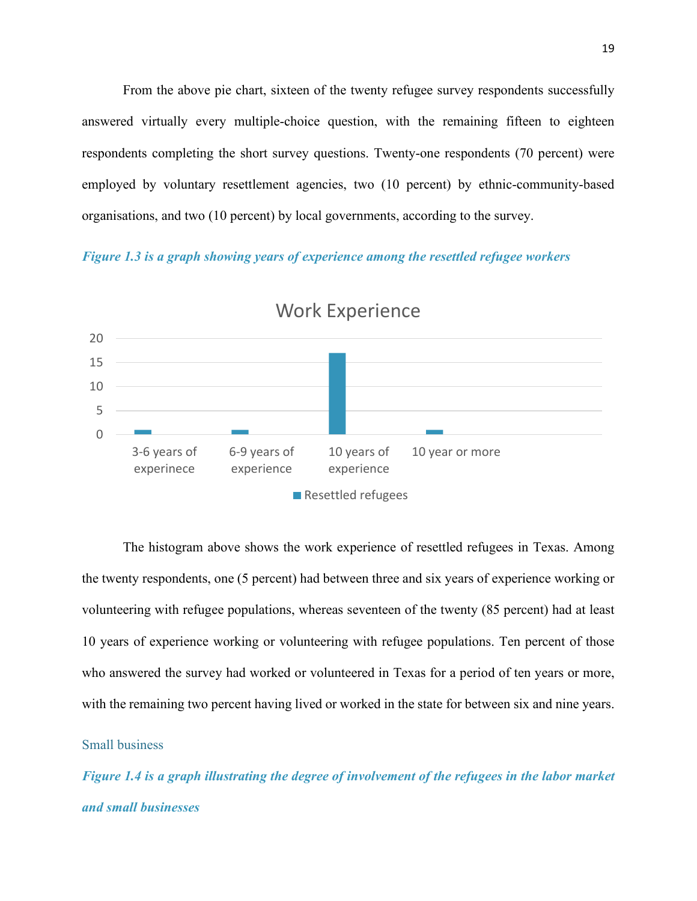From the above pie chart, sixteen of the twenty refugee survey respondents successfully answered virtually every multiple-choice question, with the remaining fifteen to eighteen respondents completing the short survey questions. Twenty-one respondents (70 percent) were employed by voluntary resettlement agencies, two (10 percent) by ethnic-community-based organisations, and two (10 percent) by local governments, according to the survey.

*Figure 1.3 is a graph showing years of experience among the resettled refugee workers*



Work Experience

The histogram above shows the work experience of resettled refugees in Texas. Among the twenty respondents, one (5 percent) had between three and six years of experience working or volunteering with refugee populations, whereas seventeen of the twenty (85 percent) had at least 10 years of experience working or volunteering with refugee populations. Ten percent of those who answered the survey had worked or volunteered in Texas for a period of ten years or more, with the remaining two percent having lived or worked in the state for between six and nine years.

# <span id="page-18-0"></span>Small business

*Figure 1.4 is a graph illustrating the degree of involvement of the refugees in the labor market and small businesses*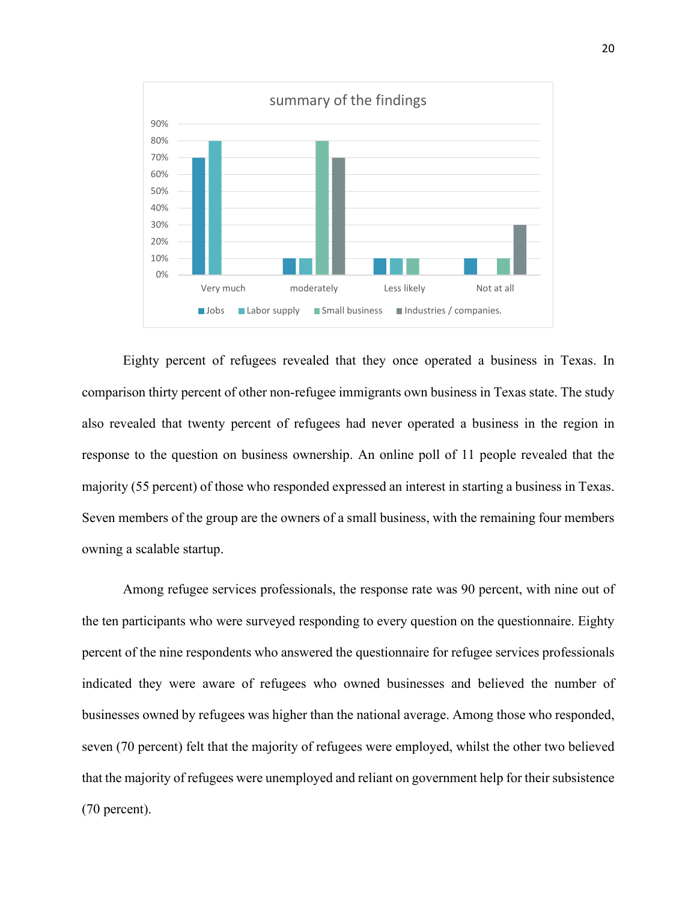

Eighty percent of refugees revealed that they once operated a business in Texas. In comparison thirty percent of other non-refugee immigrants own business in Texas state. The study also revealed that twenty percent of refugees had never operated a business in the region in response to the question on business ownership. An online poll of 11 people revealed that the majority (55 percent) of those who responded expressed an interest in starting a business in Texas. Seven members of the group are the owners of a small business, with the remaining four members owning a scalable startup.

Among refugee services professionals, the response rate was 90 percent, with nine out of the ten participants who were surveyed responding to every question on the questionnaire. Eighty percent of the nine respondents who answered the questionnaire for refugee services professionals indicated they were aware of refugees who owned businesses and believed the number of businesses owned by refugees was higher than the national average. Among those who responded, seven (70 percent) felt that the majority of refugees were employed, whilst the other two believed that the majority of refugees were unemployed and reliant on government help for their subsistence (70 percent).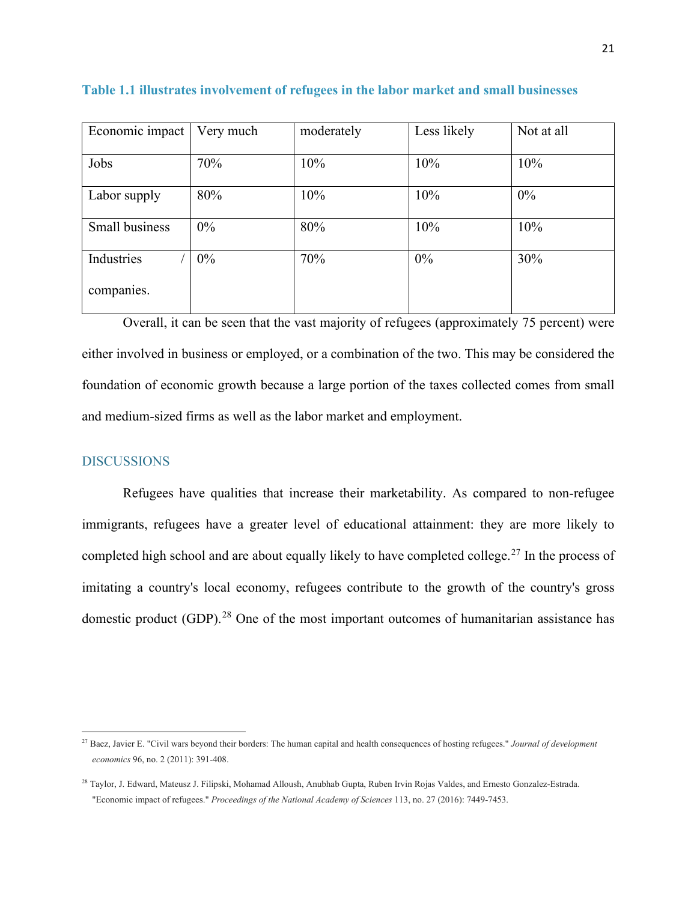| Economic impact | Very much | moderately | Less likely | Not at all |
|-----------------|-----------|------------|-------------|------------|
| Jobs            | 70%       | 10%        | 10%         | 10%        |
| Labor supply    | 80%       | 10%        | 10%         | $0\%$      |
| Small business  | $0\%$     | 80%        | 10%         | 10%        |
| Industries      | $0\%$     | 70%        | $0\%$       | 30%        |
| companies.      |           |            |             |            |

**Table 1.1 illustrates involvement of refugees in the labor market and small businesses**

Overall, it can be seen that the vast majority of refugees (approximately 75 percent) were either involved in business or employed, or a combination of the two. This may be considered the foundation of economic growth because a large portion of the taxes collected comes from small and medium-sized firms as well as the labor market and employment.

## <span id="page-20-0"></span>DISCUSSIONS

Refugees have qualities that increase their marketability. As compared to non-refugee immigrants, refugees have a greater level of educational attainment: they are more likely to completed high school and are about equally likely to have completed college.<sup>[27](#page-20-1)</sup> In the process of imitating a country's local economy, refugees contribute to the growth of the country's gross domestic product  $(GDP)$ .<sup>[28](#page-20-2)</sup> One of the most important outcomes of humanitarian assistance has

<span id="page-20-1"></span><sup>27</sup> Baez, Javier E. "Civil wars beyond their borders: The human capital and health consequences of hosting refugees." *Journal of development economics* 96, no. 2 (2011): 391-408.

<span id="page-20-2"></span><sup>28</sup> Taylor, J. Edward, Mateusz J. Filipski, Mohamad Alloush, Anubhab Gupta, Ruben Irvin Rojas Valdes, and Ernesto Gonzalez-Estrada. "Economic impact of refugees." *Proceedings of the National Academy of Sciences* 113, no. 27 (2016): 7449-7453.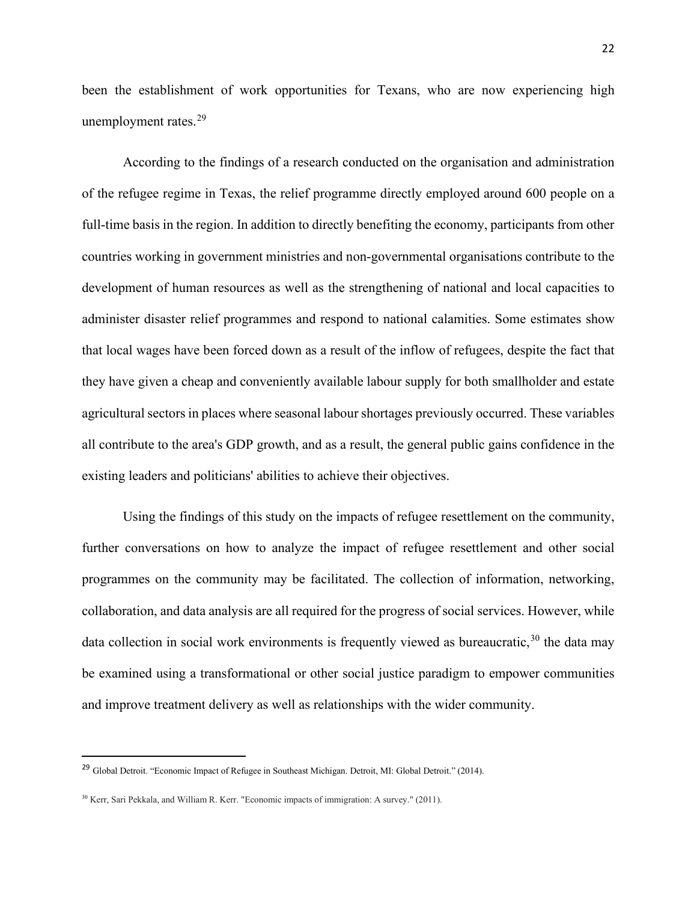been the establishment of work opportunities for Texans, who are now experiencing high unemployment rates.<sup>[29](#page-21-0)</sup>

According to the findings of a research conducted on the organisation and administration of the refugee regime in Texas, the relief programme directly employed around 600 people on a full-time basis in the region. In addition to directly benefiting the economy, participants from other countries working in government ministries and non-governmental organisations contribute to the development of human resources as well as the strengthening of national and local capacities to administer disaster relief programmes and respond to national calamities. Some estimates show that local wages have been forced down as a result of the inflow of refugees, despite the fact that they have given a cheap and conveniently available labour supply for both smallholder and estate agricultural sectors in places where seasonal labour shortages previously occurred. These variables all contribute to the area's GDP growth, and as a result, the general public gains confidence in the existing leaders and politicians' abilities to achieve their objectives.

Using the findings of this study on the impacts of refugee resettlement on the community, further conversations on how to analyze the impact of refugee resettlement and other social programmes on the community may be facilitated. The collection of information, networking, collaboration, and data analysis are all required for the progress of social services. However, while data collection in social work environments is frequently viewed as bureaucratic,<sup>[30](#page-21-1)</sup> the data may be examined using a transformational or other social justice paradigm to empower communities and improve treatment delivery as well as relationships with the wider community.

<span id="page-21-0"></span><sup>&</sup>lt;sup>29</sup> Global Detroit. "Economic Impact of Refugee in Southeast Michigan. Detroit, MI: Global Detroit." (2014).

<span id="page-21-1"></span><sup>30</sup> Kerr, Sari Pekkala, and William R. Kerr. "Economic impacts of immigration: A survey." (2011).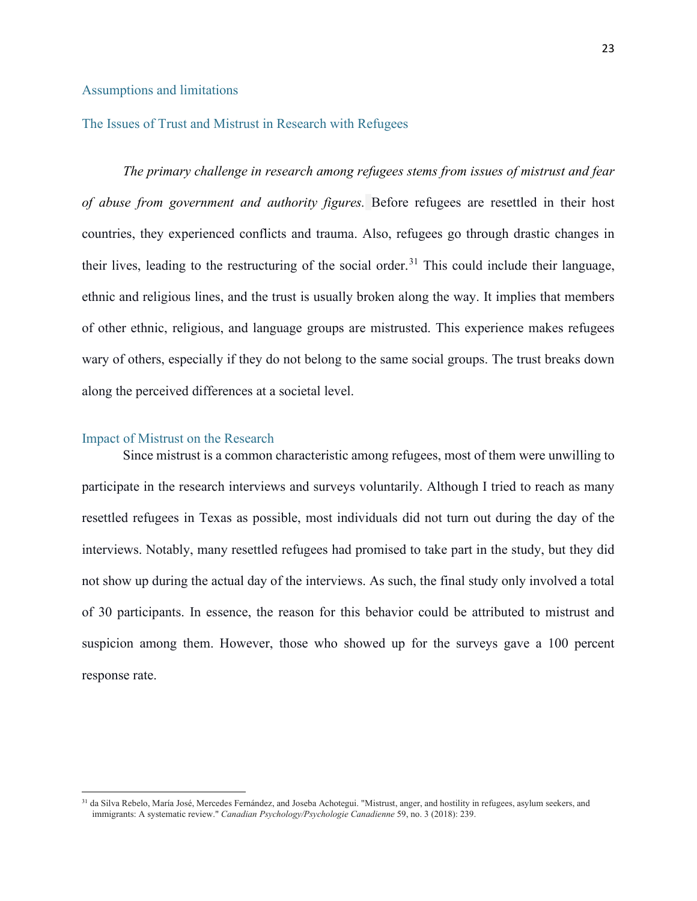#### <span id="page-22-0"></span>Assumptions and limitations

#### <span id="page-22-1"></span>The Issues of Trust and Mistrust in Research with Refugees

*The primary challenge in research among refugees stems from issues of mistrust and fear of abuse from government and authority figures.* Before refugees are resettled in their host countries, they experienced conflicts and trauma. Also, refugees go through drastic changes in their lives, leading to the restructuring of the social order.<sup>[31](#page-22-3)</sup> This could include their language, ethnic and religious lines, and the trust is usually broken along the way. It implies that members of other ethnic, religious, and language groups are mistrusted. This experience makes refugees wary of others, especially if they do not belong to the same social groups. The trust breaks down along the perceived differences at a societal level.

#### <span id="page-22-2"></span>Impact of Mistrust on the Research

Since mistrust is a common characteristic among refugees, most of them were unwilling to participate in the research interviews and surveys voluntarily. Although I tried to reach as many resettled refugees in Texas as possible, most individuals did not turn out during the day of the interviews. Notably, many resettled refugees had promised to take part in the study, but they did not show up during the actual day of the interviews. As such, the final study only involved a total of 30 participants. In essence, the reason for this behavior could be attributed to mistrust and suspicion among them. However, those who showed up for the surveys gave a 100 percent response rate.

<span id="page-22-3"></span><sup>&</sup>lt;sup>31</sup> da Silva Rebelo, María José, Mercedes Fernández, and Joseba Achotegui. "Mistrust, anger, and hostility in refugees, asylum seekers, and immigrants: A systematic review." *Canadian Psychology/Psychologie Canadienne* 59, no. 3 (2018): 239.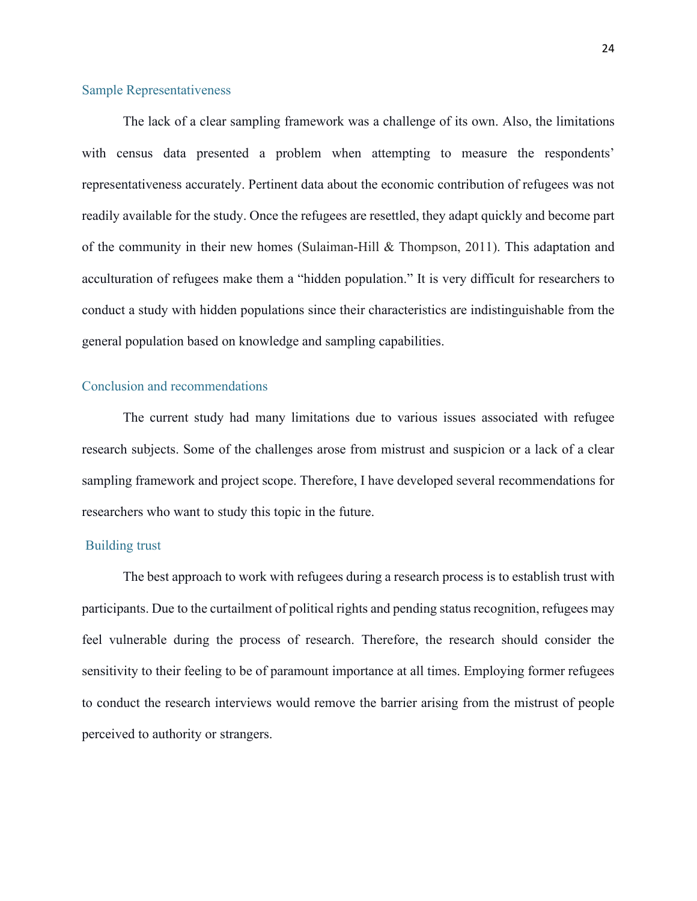#### <span id="page-23-0"></span>Sample Representativeness

The lack of a clear sampling framework was a challenge of its own. Also, the limitations with census data presented a problem when attempting to measure the respondents' representativeness accurately. Pertinent data about the economic contribution of refugees was not readily available for the study. Once the refugees are resettled, they adapt quickly and become part of the community in their new homes (Sulaiman-Hill & Thompson, 2011). This adaptation and acculturation of refugees make them a "hidden population." It is very difficult for researchers to conduct a study with hidden populations since their characteristics are indistinguishable from the general population based on knowledge and sampling capabilities.

#### <span id="page-23-1"></span>Conclusion and recommendations

The current study had many limitations due to various issues associated with refugee research subjects. Some of the challenges arose from mistrust and suspicion or a lack of a clear sampling framework and project scope. Therefore, I have developed several recommendations for researchers who want to study this topic in the future.

#### <span id="page-23-2"></span>Building trust

The best approach to work with refugees during a research process is to establish trust with participants. Due to the curtailment of political rights and pending status recognition, refugees may feel vulnerable during the process of research. Therefore, the research should consider the sensitivity to their feeling to be of paramount importance at all times. Employing former refugees to conduct the research interviews would remove the barrier arising from the mistrust of people perceived to authority or strangers.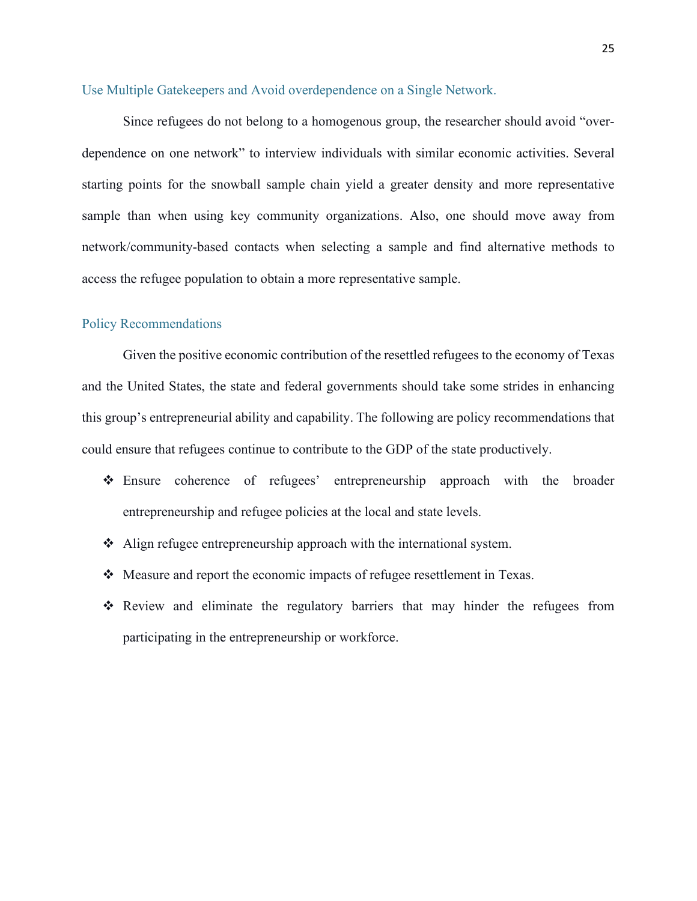#### <span id="page-24-0"></span>Use Multiple Gatekeepers and Avoid overdependence on a Single Network.

Since refugees do not belong to a homogenous group, the researcher should avoid "overdependence on one network" to interview individuals with similar economic activities. Several starting points for the snowball sample chain yield a greater density and more representative sample than when using key community organizations. Also, one should move away from network/community-based contacts when selecting a sample and find alternative methods to access the refugee population to obtain a more representative sample.

#### <span id="page-24-1"></span>Policy Recommendations

Given the positive economic contribution of the resettled refugees to the economy of Texas and the United States, the state and federal governments should take some strides in enhancing this group's entrepreneurial ability and capability. The following are policy recommendations that could ensure that refugees continue to contribute to the GDP of the state productively.

- Ensure coherence of refugees' entrepreneurship approach with the broader entrepreneurship and refugee policies at the local and state levels.
- Align refugee entrepreneurship approach with the international system.
- Measure and report the economic impacts of refugee resettlement in Texas.
- Review and eliminate the regulatory barriers that may hinder the refugees from participating in the entrepreneurship or workforce.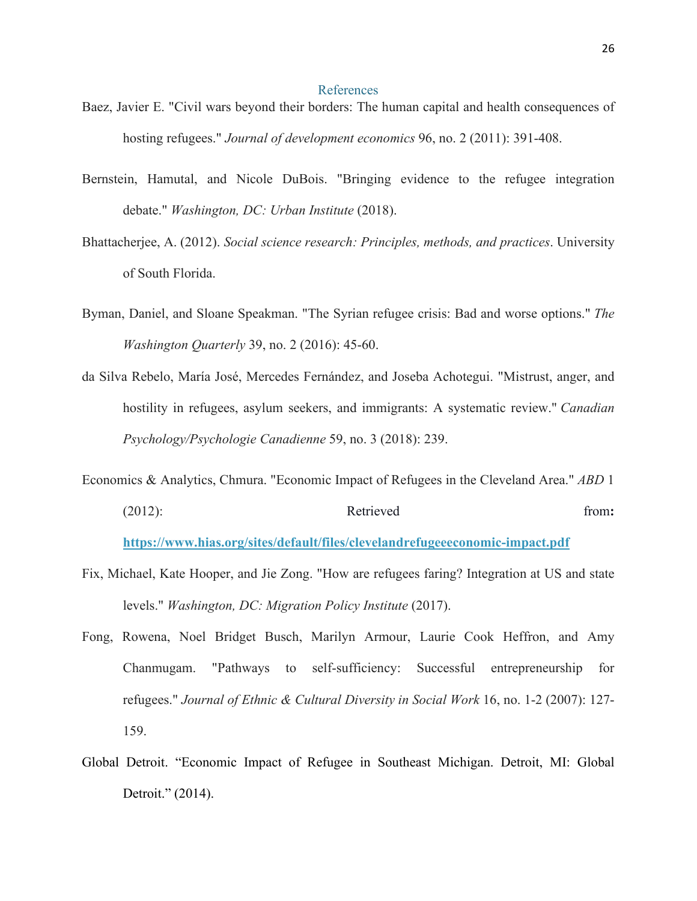#### References

- <span id="page-25-0"></span>Baez, Javier E. "Civil wars beyond their borders: The human capital and health consequences of hosting refugees." *Journal of development economics* 96, no. 2 (2011): 391-408.
- Bernstein, Hamutal, and Nicole DuBois. "Bringing evidence to the refugee integration debate." *Washington, DC: Urban Institute* (2018).
- Bhattacherjee, A. (2012). *Social science research: Principles, methods, and practices*. University of South Florida.
- Byman, Daniel, and Sloane Speakman. "The Syrian refugee crisis: Bad and worse options." *The Washington Quarterly* 39, no. 2 (2016): 45-60.
- da Silva Rebelo, María José, Mercedes Fernández, and Joseba Achotegui. "Mistrust, anger, and hostility in refugees, asylum seekers, and immigrants: A systematic review." *Canadian Psychology/Psychologie Canadienne* 59, no. 3 (2018): 239.
- Economics & Analytics, Chmura. "Economic Impact of Refugees in the Cleveland Area." *ABD* 1 (2012): Retrieved from:
	- **https://www.hias.org/sites/default/files/clevelandrefugeeeconomic-impact.pdf**
- Fix, Michael, Kate Hooper, and Jie Zong. "How are refugees faring? Integration at US and state levels." *Washington, DC: Migration Policy Institute* (2017).
- Fong, Rowena, Noel Bridget Busch, Marilyn Armour, Laurie Cook Heffron, and Amy Chanmugam. "Pathways to self-sufficiency: Successful entrepreneurship for refugees." *Journal of Ethnic & Cultural Diversity in Social Work* 16, no. 1-2 (2007): 127- 159.
- Global Detroit. "Economic Impact of Refugee in Southeast Michigan. Detroit, MI: Global Detroit." (2014).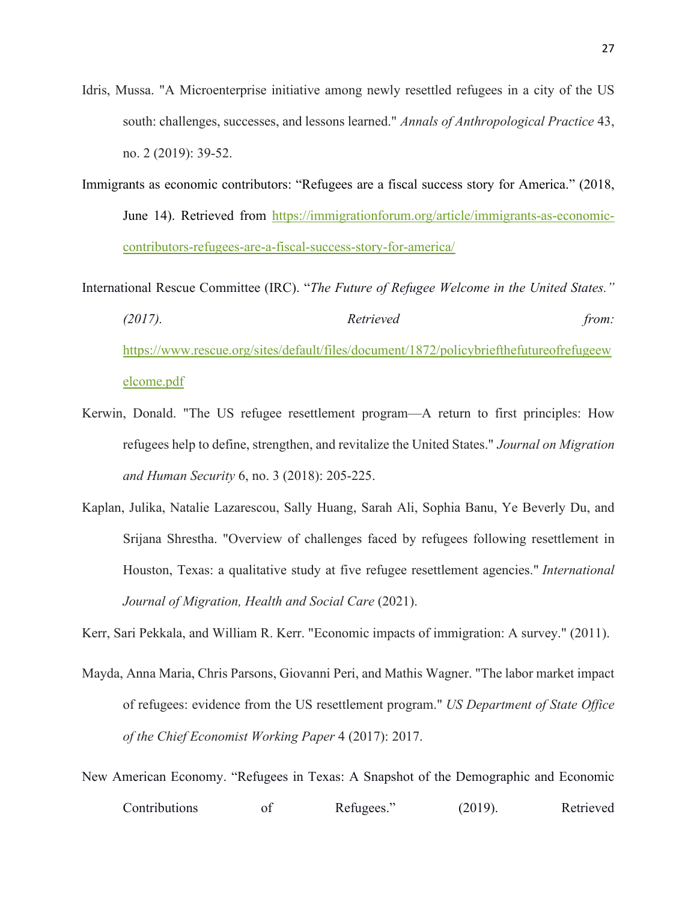- Idris, Mussa. "A Microenterprise initiative among newly resettled refugees in a city of the US south: challenges, successes, and lessons learned." *Annals of Anthropological Practice* 43, no. 2 (2019): 39-52.
- Immigrants as economic contributors: "Refugees are a fiscal success story for America." (2018, June 14). Retrieved from https://immigrationforum.org/article/immigrants-as-economiccontributors-refugees-are-a-fiscal-success-story-for-america/

International Rescue Committee (IRC). "*The Future of Refugee Welcome in the United States." (2017). Retrieved from:*  https://www.rescue.org/sites/default/files/document/1872/policybriefthefutureofrefugeew elcome.pdf

- Kerwin, Donald. "The US refugee resettlement program—A return to first principles: How refugees help to define, strengthen, and revitalize the United States." *Journal on Migration and Human Security* 6, no. 3 (2018): 205-225.
- Kaplan, Julika, Natalie Lazarescou, Sally Huang, Sarah Ali, Sophia Banu, Ye Beverly Du, and Srijana Shrestha. "Overview of challenges faced by refugees following resettlement in Houston, Texas: a qualitative study at five refugee resettlement agencies." *International Journal of Migration, Health and Social Care* (2021).

Kerr, Sari Pekkala, and William R. Kerr. "Economic impacts of immigration: A survey." (2011).

- Mayda, Anna Maria, Chris Parsons, Giovanni Peri, and Mathis Wagner. "The labor market impact of refugees: evidence from the US resettlement program." *US Department of State Office of the Chief Economist Working Paper* 4 (2017): 2017.
- New American Economy. "Refugees in Texas: A Snapshot of the Demographic and Economic Contributions of Refugees." (2019). Retrieved